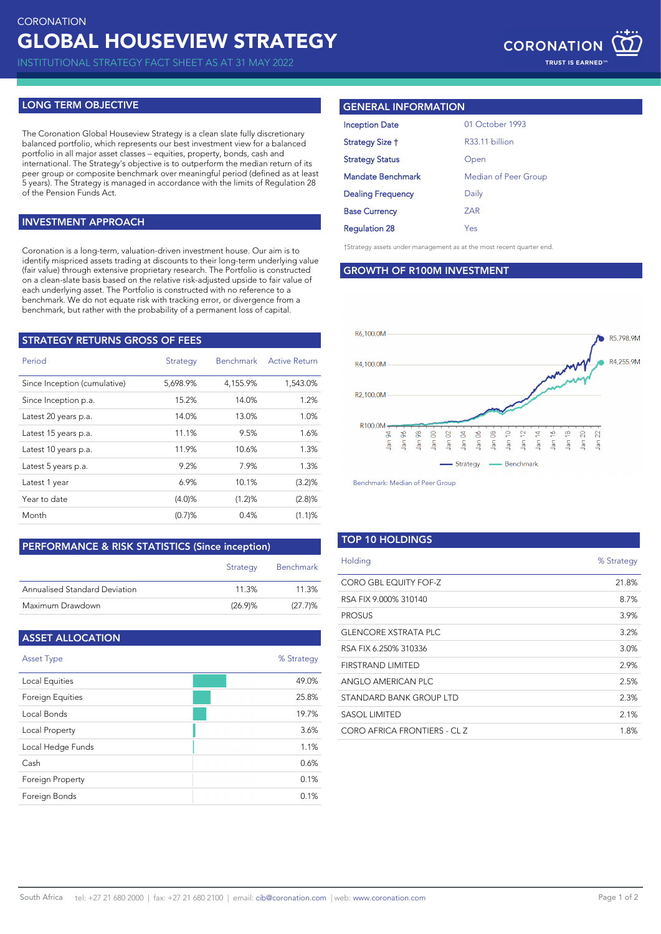INSTITUTIONAL STRATEGY FACT SHEET AS AT 31 MAY 2022

# **LONG TERM OBJECTIVE**

The Coronation Global Houseview Strategy is a clean slate fully discretionary balanced portfolio, which represents our best investment view for a balanced portfolio in all major asset classes – equities, property, bonds, cash and international. The Strategy's objective is to outperform the median return of its peer group or composite benchmark over meaningful period (defined as at least 5 years). The Strategy is managed in accordance with the limits of Regulation 28 of the Pension Funds Act.

### **INVESTMENT APPROACH**

†Strategy assets under management as at the most recent quarter end. Coronation is a long-term, valuation-driven investment house. Our aim is to identify mispriced assets trading at discounts to their long-term underlying value (fair value) through extensive proprietary research. The Portfolio is constructed on a clean-slate basis based on the relative risk-adjusted upside to fair value of each underlying asset. The Portfolio is constructed with no reference to a benchmark. We do not equate risk with tracking error, or divergence from a benchmark, but rather with the probability of a permanent loss of capital.

| <b>STRATEGY RETURNS GROSS OF FEES</b> |          |                  |                      |  |
|---------------------------------------|----------|------------------|----------------------|--|
| Period                                | Strategy | <b>Benchmark</b> | <b>Active Return</b> |  |
| Since Inception (cumulative)          | 5,698.9% | 4,155.9%         | 1,543.0%             |  |
| Since Inception p.a.                  | 15.2%    | 14.0%            | 1.2%                 |  |
| Latest 20 years p.a.                  | 14.0%    | 13.0%            | 1.0%                 |  |
| Latest 15 years p.a.                  | 11.1%    | 9.5%             | 1.6%                 |  |
| Latest 10 years p.a.                  | 11.9%    | 10.6%            | 1.3%                 |  |
| Latest 5 years p.a.                   | 9.2%     | 7.9%             | 1.3%                 |  |
| Latest 1 year                         | 6.9%     | 10.1%            | (3.2)%               |  |
| Year to date                          | (4.0)%   | (1.2)%           | (2.8)%               |  |
| Month                                 | (0.7)%   | 0.4%             | (1.1)%               |  |

#### **PERFORMANCE & RISK STATISTICS (Since inception)**

|                               | Strategy | <b>Benchmark</b> |
|-------------------------------|----------|------------------|
| Annualised Standard Deviation | 11.3%    | 11.3%            |
| Maximum Drawdown              | (26.9)%  | $(27.7)\%$       |

| <b>ASSET ALLOCATION</b> |            |
|-------------------------|------------|
| <b>Asset Type</b>       | % Strategy |
| Local Equities          | 49.0%      |
| Foreign Equities        | 25.8%      |
| Local Bonds             | 19.7%      |
| Local Property          | 3.6%       |
| Local Hedge Funds       | 1.1%       |
| Cash                    | 0.6%       |
| Foreign Property        | 0.1%       |
| Foreign Bonds           | 0.1%       |

## **GENERAL INFORMATION**

| 01 October 1993      |
|----------------------|
| R33.11 billion       |
| Open                 |
| Median of Peer Group |
| Daily                |
| <b>ZAR</b>           |
| Yes                  |
|                      |

#### **GROWTH OF R100M INVESTMENT**



Benchmark: Median of Peer Group

| <b>TOP 10 HOLDINGS</b>      |            |
|-----------------------------|------------|
| Holding                     | % Strategy |
| CORO GBL EQUITY FOF-Z       | 21.8%      |
| RSA FIX 9.000% 310140       | 8.7%       |
| <b>PROSUS</b>               | 3.9%       |
| <b>GLENCORE XSTRATA PLC</b> | 3.2%       |
| RSA FIX 6.250% 310336       | 3.0%       |
| FIRSTRAND LIMITED           | 2.9%       |
| ANGLO AMERICAN PLC          | 2.5%       |
| STANDARD BANK GROUP LTD     | 2.3%       |
| <b>SASOL LIMITED</b>        | 2.1%       |
| CORO AFRICA FRONTIERS - CLZ | 1.8%       |